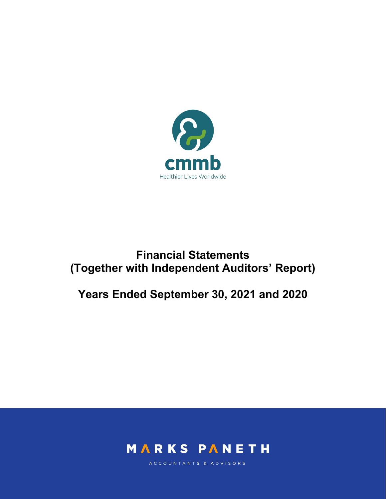

# **Financial Statements (Together with Independent Auditors' Report)**

# **Years Ended September 30, 2021 and 2020**



ACCOUNTANTS & ADVISORS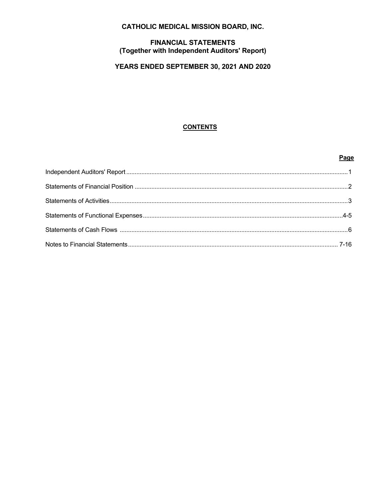## **CATHOLIC MEDICAL MISSION BOARD, INC.**

## **FINANCIAL STATEMENTS** (Together with Independent Auditors' Report)

# YEARS ENDED SEPTEMBER 30, 2021 AND 2020

## **CONTENTS**

## Page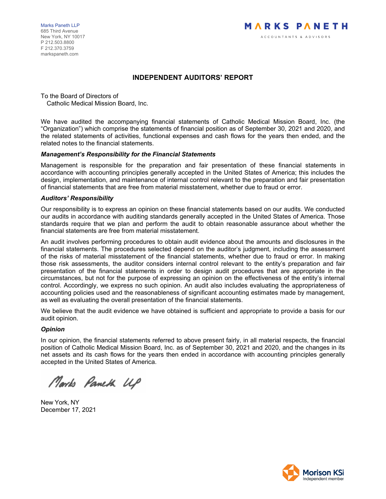## **INDEPENDENT AUDITORS' REPORT**

To the Board of Directors of Catholic Medical Mission Board, Inc.

We have audited the accompanying financial statements of Catholic Medical Mission Board, Inc. (the "Organization") which comprise the statements of financial position as of September 30, 2021 and 2020, and the related statements of activities, functional expenses and cash flows for the years then ended, and the related notes to the financial statements.

### *Management's Responsibility for the Financial Statements*

Management is responsible for the preparation and fair presentation of these financial statements in accordance with accounting principles generally accepted in the United States of America; this includes the design, implementation, and maintenance of internal control relevant to the preparation and fair presentation of financial statements that are free from material misstatement, whether due to fraud or error.

#### *Auditors' Responsibility*

Our responsibility is to express an opinion on these financial statements based on our audits. We conducted our audits in accordance with auditing standards generally accepted in the United States of America. Those standards require that we plan and perform the audit to obtain reasonable assurance about whether the financial statements are free from material misstatement.

An audit involves performing procedures to obtain audit evidence about the amounts and disclosures in the financial statements. The procedures selected depend on the auditor's judgment, including the assessment of the risks of material misstatement of the financial statements, whether due to fraud or error. In making those risk assessments, the auditor considers internal control relevant to the entity's preparation and fair presentation of the financial statements in order to design audit procedures that are appropriate in the circumstances, but not for the purpose of expressing an opinion on the effectiveness of the entity's internal control. Accordingly, we express no such opinion. An audit also includes evaluating the appropriateness of accounting policies used and the reasonableness of significant accounting estimates made by management, as well as evaluating the overall presentation of the financial statements.

We believe that the audit evidence we have obtained is sufficient and appropriate to provide a basis for our audit opinion.

#### *Opinion*

In our opinion, the financial statements referred to above present fairly, in all material respects, the financial position of Catholic Medical Mission Board, Inc. as of September 30, 2021 and 2020, and the changes in its net assets and its cash flows for the years then ended in accordance with accounting principles generally accepted in the United States of America.

Marks Paneth UP

New York, NY December 17, 2021

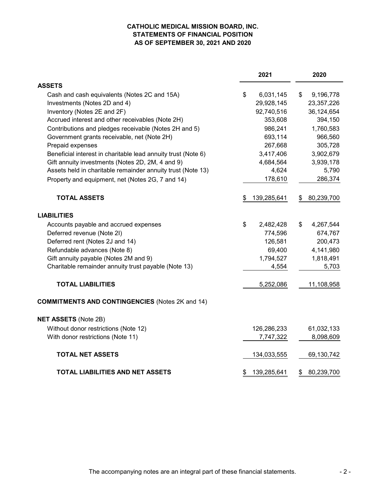## CATHOLIC MEDICAL MISSION BOARD, INC. STATEMENTS OF FINANCIAL POSITION AS OF SEPTEMBER 30, 2021 AND 2020

|                                                               | 2021              | 2020             |
|---------------------------------------------------------------|-------------------|------------------|
| <b>ASSETS</b>                                                 |                   |                  |
| Cash and cash equivalents (Notes 2C and 15A)                  | \$<br>6,031,145   | \$<br>9,196,778  |
| Investments (Notes 2D and 4)                                  | 29,928,145        | 23,357,226       |
| Inventory (Notes 2E and 2F)                                   | 92,740,516        | 36,124,654       |
| Accrued interest and other receivables (Note 2H)              | 353,608           | 394,150          |
| Contributions and pledges receivable (Notes 2H and 5)         | 986,241           | 1,760,583        |
| Government grants receivable, net (Note 2H)                   | 693,114           | 966,560          |
| Prepaid expenses                                              | 267,668           | 305,728          |
| Beneficial interest in charitable lead annuity trust (Note 6) | 3,417,406         | 3,902,679        |
| Gift annuity investments (Notes 2D, 2M, 4 and 9)              | 4,684,564         | 3,939,178        |
| Assets held in charitable remainder annuity trust (Note 13)   | 4,624             | 5,790            |
| Property and equipment, net (Notes 2G, 7 and 14)              | 178,610           | 286,374          |
| <b>TOTAL ASSETS</b>                                           | \$<br>139,285,641 | \$<br>80,239,700 |
| <b>LIABILITIES</b>                                            |                   |                  |
| Accounts payable and accrued expenses                         | \$<br>2,482,428   | \$<br>4,267,544  |
| Deferred revenue (Note 2I)                                    | 774,596           | 674,767          |
| Deferred rent (Notes 2J and 14)                               | 126,581           | 200,473          |
| Refundable advances (Note 8)                                  | 69,400            | 4,141,980        |
| Gift annuity payable (Notes 2M and 9)                         | 1,794,527         | 1,818,491        |
| Charitable remainder annuity trust payable (Note 13)          | 4,554             | 5,703            |
| <b>TOTAL LIABILITIES</b>                                      | 5,252,086         | 11,108,958       |
| <b>COMMITMENTS AND CONTINGENCIES (Notes 2K and 14)</b>        |                   |                  |
| <b>NET ASSETS (Note 2B)</b>                                   |                   |                  |
| Without donor restrictions (Note 12)                          | 126,286,233       | 61,032,133       |
| With donor restrictions (Note 11)                             | 7,747,322         | 8,098,609        |
| <b>TOTAL NET ASSETS</b>                                       | 134,033,555       | 69,130,742       |
| TOTAL LIABILITIES AND NET ASSETS                              | \$<br>139,285,641 | \$<br>80,239,700 |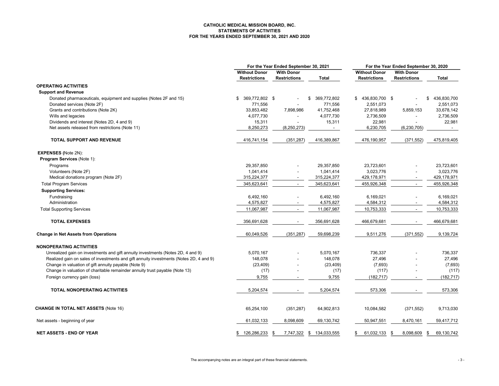#### CATHOLIC MEDICAL MISSION BOARD, INC. STATEMENTS OF ACTIVITIES FOR THE YEARS ENDED SEPTEMBER 30, 2021 AND 2020

|                                                                                        |                      | For the Year Ended September 30, 2021 |                          | For the Year Ended September 30, 2020 |                          |                   |  |  |
|----------------------------------------------------------------------------------------|----------------------|---------------------------------------|--------------------------|---------------------------------------|--------------------------|-------------------|--|--|
|                                                                                        | <b>Without Donor</b> | <b>With Donor</b>                     |                          | <b>Without Donor</b>                  | <b>With Donor</b>        |                   |  |  |
|                                                                                        | <b>Restrictions</b>  | <b>Restrictions</b>                   | Total                    | <b>Restrictions</b>                   | <b>Restrictions</b>      | <b>Total</b>      |  |  |
| <b>OPERATING ACTIVITIES</b>                                                            |                      |                                       |                          |                                       |                          |                   |  |  |
| <b>Support and Revenue</b>                                                             |                      |                                       |                          |                                       |                          |                   |  |  |
| Donated pharmaceuticals, equipment and supplies (Notes 2F and 15)                      | 369,772,802 \$<br>\$ |                                       | 369,772,802<br>\$        | 436,830,700 \$<br>\$                  |                          | 436.830.700<br>\$ |  |  |
| Donated services (Note 2F)                                                             | 771,556              |                                       | 771,556                  | 2,551,073                             |                          | 2,551,073         |  |  |
| Grants and contributions (Note 2K)                                                     | 33,853,482           | 7,898,986                             | 41,752,468               | 27,818,989                            | 5,859,153                | 33,678,142        |  |  |
| Wills and legacies                                                                     | 4,077,730            |                                       | 4,077,730                | 2,736,509                             | $\overline{\phantom{0}}$ | 2,736,509         |  |  |
| Dividends and interest (Notes 2D, 4 and 9)                                             | 15,311               |                                       | 15,311                   | 22,981                                |                          | 22,981            |  |  |
| Net assets released from restrictions (Note 11)                                        | 8,250,273            | (8, 250, 273)                         | $\sim$                   | 6,230,705                             | (6, 230, 705)            |                   |  |  |
| <b>TOTAL SUPPORT AND REVENUE</b>                                                       | 416,741,154          | (351, 287)                            | 416,389,867              | 476,190,957                           | (371, 552)               | 475,819,405       |  |  |
| <b>EXPENSES (Note 2N):</b>                                                             |                      |                                       |                          |                                       |                          |                   |  |  |
| Program Services (Note 1):                                                             |                      |                                       |                          |                                       |                          |                   |  |  |
| Programs                                                                               | 29,357,850           |                                       | 29,357,850               | 23,723,601                            |                          | 23,723,601        |  |  |
| Volunteers (Note 2F)                                                                   | 1,041,414            |                                       | 1,041,414                | 3,023,776                             | $\overline{a}$           | 3,023,776         |  |  |
| Medical donations program (Note 2F)                                                    | 315,224,377          |                                       | 315,224,377              | 429,178,971                           |                          | 429,178,971       |  |  |
| <b>Total Program Services</b>                                                          | 345,623,641          |                                       | 345,623,641              | 455,926,348                           |                          | 455,926,348       |  |  |
| <b>Supporting Services:</b>                                                            |                      |                                       |                          |                                       |                          |                   |  |  |
| Fundraising                                                                            | 6,492,160            |                                       | 6,492,160                | 6,169,021                             |                          | 6,169,021         |  |  |
| Administration                                                                         | 4,575,827            |                                       | 4,575,827                | 4,584,312                             | $\overline{\phantom{a}}$ | 4,584,312         |  |  |
| <b>Total Supporting Services</b>                                                       | 11,067,987           | $\blacksquare$                        | 11,067,987               | 10,753,333                            |                          | 10,753,333        |  |  |
| <b>TOTAL EXPENSES</b>                                                                  | 356,691,628          | $\overline{\phantom{a}}$              | 356,691,628              | 466,679,681                           |                          | 466,679,681       |  |  |
| <b>Change in Net Assets from Operations</b>                                            | 60,049,526           | (351, 287)                            | 59,698,239               | 9,511,276                             | (371, 552)               | 9,139,724         |  |  |
| <b>NONOPERATING ACTIVITIES</b>                                                         |                      |                                       |                          |                                       |                          |                   |  |  |
| Unrealized gain on investments and gift annuity investments (Notes 2D, 4 and 9)        | 5,070,167            |                                       | 5,070,167                | 736,337                               |                          | 736,337           |  |  |
| Realized gain on sales of investments and gift annuity investments (Notes 2D, 4 and 9) | 148,078              |                                       | 148,078                  | 27,496                                |                          | 27,496            |  |  |
| Change in valuation of gift annuity payable (Note 9)                                   | (23, 409)            |                                       | (23, 409)                | (7,693)                               |                          | (7,693)           |  |  |
| Change in valuation of charitable remainder annuity trust payable (Note 13)            | (17)                 |                                       | (17)                     | (117)                                 |                          | (117)             |  |  |
| Foreign currency gain (loss)                                                           | 9,755                |                                       | 9,755                    | (182, 717)                            |                          | (182, 717)        |  |  |
| TOTAL NONOPERATING ACTIVITIES                                                          | 5,204,574            |                                       | 5,204,574                | 573,306                               |                          | 573,306           |  |  |
| <b>CHANGE IN TOTAL NET ASSETS (Note 16)</b>                                            | 65,254,100           | (351, 287)                            | 64,902,813               | 10,084,582                            | (371, 552)               | 9,713,030         |  |  |
| Net assets - beginning of year                                                         | 61,032,133           | 8,098,609                             | 69,130,742               | 50,947,551                            | 8,470,161                | 59,417,712        |  |  |
| <b>NET ASSETS - END OF YEAR</b>                                                        | $$126, 286, 233$ \$  |                                       | 7,747,322 \$ 134,033,555 | 61,032,133 \$<br>\$                   | 8,098,609 \$             | 69,130,742        |  |  |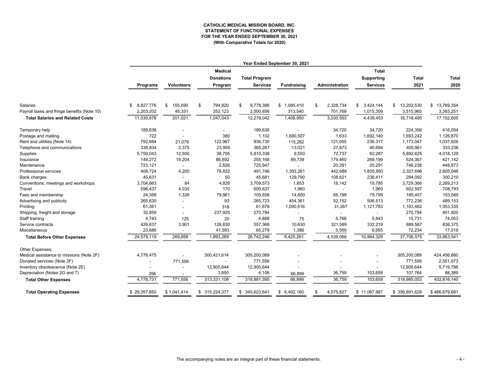#### CATHOLIC MEDICAL MISSION BOARD, INC. STATEMENT OF FUNCTIONAL EXPENSES FOR THE YEAR ENDED SEPTEMBER 30, 2021 (With Comparative Totals for 2020)

|                                             |              |                   |                  |                      | Year Ended September 30, 2021 |                 |                 |                  |               |
|---------------------------------------------|--------------|-------------------|------------------|----------------------|-------------------------------|-----------------|-----------------|------------------|---------------|
|                                             |              |                   | <b>Medical</b>   |                      |                               |                 | <b>Total</b>    |                  |               |
|                                             |              |                   | <b>Donations</b> | <b>Total Program</b> |                               |                 | Supporting      | <b>Total</b>     | <b>Total</b>  |
|                                             | Programs     | <b>Volunteers</b> | Program          | <b>Services</b>      | <b>Fundraising</b>            | Administration  | <b>Services</b> | 2021             | 2020          |
|                                             |              |                   |                  |                      |                               |                 |                 |                  |               |
| <b>Salaries</b>                             | \$8,827,776  | \$ 155,690        | \$<br>794,920    | \$<br>9,778,386      | \$1,095,410                   | 2,328,734<br>\$ | 3,424,144<br>\$ | 13,202,530<br>\$ | \$13,769,354  |
| Payroll taxes and fringe benefits (Note 10) | 2,203,202    | 45,331            | 252,123          | 2,500,656            | 313,540                       | 701,769         | 1,015,309       | 3,515,965        | 3,383,251     |
| <b>Total Salaries and Related Costs</b>     | 11,030,978   | 201,021           | 1,047,043        | 12,279,042           | 1,408,950                     | 3,030,503       | 4,439,453       | 16,718,495       | 17,152,605    |
| Temporary help                              | 189,636      |                   |                  | 189,636              |                               | 34,720          | 34,720          | 224,356          | 416,054       |
| Postage and mailing                         | 722          |                   | 380              | 1,102                | 1,690,507                     | 1,633           | 1,692,140       | 1,693,242        | 1,126,870     |
| Rent and utilities (Note 14)                | 792,684      | 21,079            | 122,967          | 936,730              | 115,262                       | 121,055         | 236,317         | 1,173,047        | 1,037,926     |
| Telephone and communications                | 338,934      | 2,375             | 23,958           | 365,267              | 13,021                        | 27,673          | 40,694          | 405,961          | 333,236       |
| Supplies                                    | 5,759,043    | 12,500            | 38,795           | 5,810,338            | 9,550                         | 72,737          | 82,287          | 5,892,625        | 4,018,129     |
| Insurance                                   | 149,272      | 19,204            | 86,692           | 255,168              | 89,739                        | 179,460         | 269,199         | 524,367          | 421,142       |
| Maintenance                                 | 723,121      |                   | 2,826            | 725,947              |                               | 20,291          | 20,291          | 746,238          | 448,873       |
| Professional services                       | 408,724      | 4,200             | 78,822           | 491,746              | 1,393,261                     | 442,689         | 1,835,950       | 2,327,696        | 2,605,046     |
| <b>Bank charges</b>                         | 45,631       |                   | 50               | 45,681               | 129,790                       | 108,621         | 238,411         | 284,092          | 300,210       |
| Conventions, meetings and workshops         | 3,704,663    | 84                | 4,826            | 3,709,573            | 1,653                         | 18,142          | 19,795          | 3,729,368        | 2,269,213     |
| Travel                                      | 596,437      | 4,030             | 170              | 600,637              | 1,960                         | $\overline{a}$  | 1,960           | 602,597          | 708,793       |
| Fees and membership                         | 24,358       | 1,339             | 79,961           | 105,658              | 14,600                        | 65,199          | 79,799          | 185,457          | 153,589       |
| Advertising and publicity                   | 265,630      |                   | 93               | 265,723              | 454,361                       | 52,152          | 506,513         | 772,236          | 489,153       |
| Printing                                    | 61,361       |                   | 318              | 61,679               | 1,090,516                     | 31,267          | 1,121,783       | 1,183,462        | 1,053,335     |
| Shipping, freight and storage               | 32,859       |                   | 237,925          | 270,784              |                               |                 |                 | 270,784          | 401,920       |
| Staff training                              | 4.743        | 125               | 20               | 4,888                | 75                            | 5,768           | 5,843           | 10,731           | 74,053        |
| Service contracts                           | 426,637      | 3,901             | 126,830          | 557,368              | 10,630                        | 321,589         | 332,219         | 889,587          | 836,375       |
| Miscellaneous                               | 23,686       |                   | 41,593           | 65,279               | 1,386                         | 5,569           | 6,955           | 72,234           | 17,019        |
| <b>Total Before Other Expenses</b>          | 24,579,119   | 269,858           | 1,893,269        | 26,742,246           | 6,425,261                     | 4,539,068       | 10,964,329      | 37,706,575       | 33,863,541    |
| Other Expenses:                             |              |                   |                  |                      |                               |                 |                 |                  |               |
| Medical assistance to missions (Note 2F)    | 4,778,475    |                   | 300,421,614      | 305,200,089          |                               |                 |                 | 305,200,089      | 424,456,880   |
| Donated services (Note 2F)                  |              | 771,556           |                  | 771,556              |                               |                 |                 | 771,556          | 2,551,073     |
| Inventory obsolescence (Note 2E)            |              |                   | 12,905,644       | 12,905,644           |                               |                 |                 | 12,905,644       | 5,719,798     |
| Depreciation (Notes 2G and 7)               | 256          |                   | 3,850            | 4,106                | 66,899                        | 36,759          | 103,658         | 107,764          | 88,389        |
| <b>Total Other Expenses</b>                 | 4,778,731    | 771,556           | 313,331,108      | 318,881,395          | 66.899                        | 36,759          | 103,658         | 318,985,053      | 432,816,140   |
| <b>Total Operating Expenses</b>             | \$29,357,850 | \$1,041,414       | \$ 315,224,377   | \$ 345,623,641       | \$6,492,160                   | 4,575,827<br>\$ | \$11,067,987    | \$356,691,628    | \$466,679,681 |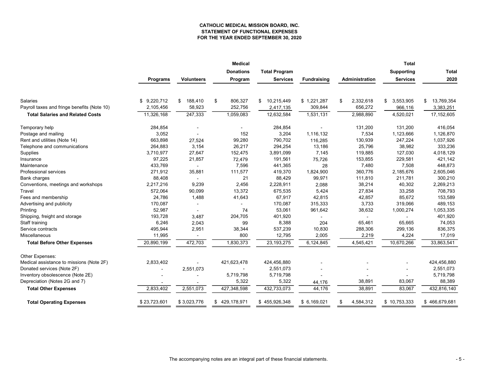#### CATHOLIC MEDICAL MISSION BOARD, INC. STATEMENT OF FUNCTIONAL EXPENSES FOR THE YEAR ENDED SEPTEMBER 30, 2020

|                                             |              |                   | <b>Medical</b>   |                      |                    |                 | <b>Total</b>    |                  |
|---------------------------------------------|--------------|-------------------|------------------|----------------------|--------------------|-----------------|-----------------|------------------|
|                                             |              |                   | <b>Donations</b> | <b>Total Program</b> |                    |                 | Supporting      | <b>Total</b>     |
|                                             | Programs     | <b>Volunteers</b> | Program          | <b>Services</b>      | <b>Fundraising</b> | Administration  | <b>Services</b> | 2020             |
|                                             |              |                   |                  |                      |                    |                 |                 |                  |
| Salaries                                    | \$9,220,712  | 188,410<br>\$     | \$<br>806,327    | \$10,215,449         | \$1,221,287        | 2,332,618<br>\$ | 3,553,905<br>\$ | 13,769,354<br>\$ |
| Payroll taxes and fringe benefits (Note 10) | 2,105,456    | 58,923            | 252,756          | 2,417,135            | 309,844            | 656,272         | 966,116         | 3,383,251        |
| <b>Total Salaries and Related Costs</b>     | 11,326,168   | 247,333           | 1,059,083        | 12,632,584           | 1,531,131          | 2,988,890       | 4,520,021       | 17,152,605       |
| Temporary help                              | 284,854      |                   |                  | 284,854              |                    | 131,200         | 131,200         | 416,054          |
| Postage and mailing                         | 3,052        |                   | 152              | 3,204                | 1,116,132          | 7,534           | 1,123,666       | 1,126,870        |
| Rent and utilities (Note 14)                | 663,898      | 27,524            | 99,280           | 790,702              | 116,285            | 130,939         | 247,224         | 1,037,926        |
| Telephone and communications                | 264,883      | 3,154             | 26,217           | 294,254              | 13,186             | 25,796          | 38,982          | 333,236          |
| Supplies                                    | 3,710,977    | 27,647            | 152,475          | 3,891,099            | 7,145              | 119,885         | 127,030         | 4,018,129        |
| Insurance                                   | 97,225       | 21,857            | 72,479           | 191,561              | 75,726             | 153,855         | 229,581         | 421,142          |
| Maintenance                                 | 433,769      |                   | 7,596            | 441,365              | 28                 | 7,480           | 7,508           | 448,873          |
| <b>Professional services</b>                | 271,912      | 35,881            | 111,577          | 419,370              | 1,824,900          | 360,776         | 2,185,676       | 2,605,046        |
| <b>Bank charges</b>                         | 88,408       |                   | 21               | 88,429               | 99,971             | 111,810         | 211,781         | 300,210          |
| Conventions, meetings and workshops         | 2,217,216    | 9,239             | 2,456            | 2,228,911            | 2,088              | 38,214          | 40,302          | 2,269,213        |
| Travel                                      | 572,064      | 90,099            | 13,372           | 675,535              | 5,424              | 27,834          | 33,258          | 708,793          |
| Fees and membership                         | 24,786       | 1,488             | 41,643           | 67,917               | 42,815             | 42,857          | 85,672          | 153,589          |
| Advertising and publicity                   | 170,087      |                   |                  | 170,087              | 315,333            | 3,733           | 319,066         | 489,153          |
| Printing                                    | 52,987       |                   | 74               | 53,061               | 961,642            | 38,632          | 1,000,274       | 1,053,335        |
| Shipping, freight and storage               | 193,728      | 3,487             | 204,705          | 401,920              |                    |                 |                 | 401,920          |
| Staff training                              | 6,246        | 2,043             | 99               | 8,388                | 204                | 65,461          | 65,665          | 74,053           |
| Service contracts                           | 495,944      | 2,951             | 38,344           | 537,239              | 10,830             | 288,306         | 299,136         | 836,375          |
| Miscellaneous                               | 11,995       |                   | 800              | 12,795               | 2,005              | 2,219           | 4,224           | 17,019           |
| <b>Total Before Other Expenses</b>          | 20,890,199   | 472,703           | 1,830,373        | 23,193,275           | 6,124,845          | 4,545,421       | 10,670,266      | 33,863,541       |
| Other Expenses:                             |              |                   |                  |                      |                    |                 |                 |                  |
| Medical assistance to missions (Note 2F)    | 2,833,402    |                   | 421,623,478      | 424,456,880          |                    |                 |                 | 424,456,880      |
| Donated services (Note 2F)                  |              | 2,551,073         |                  | 2,551,073            |                    |                 |                 | 2,551,073        |
| Inventory obsolescence (Note 2E)            |              |                   | 5,719,798        | 5,719,798            |                    |                 |                 | 5,719,798        |
| Depreciation (Notes 2G and 7)               |              |                   | 5,322            | 5,322                | 44,176             | 38,891          | 83,067          | 88,389           |
| <b>Total Other Expenses</b>                 | 2,833,402    | 2,551,073         | 427,348,598      | 432,733,073          | 44,176             | 38,891          | 83,067          | 432,816,140      |
| <b>Total Operating Expenses</b>             | \$23,723,601 | \$3,023,776       | \$429,178,971    | \$455,926,348        | \$6,169,021        | 4,584,312<br>\$ | \$10,753,333    | \$466,679,681    |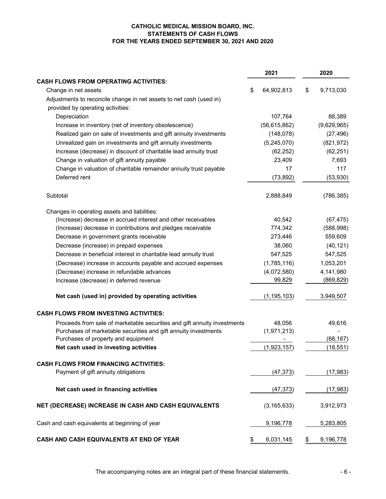## CATHOLIC MEDICAL MISSION BOARD, INC. STATEMENTS OF CASH FLOWS FOR THE YEARS ENDED SEPTEMBER 30, 2021 AND 2020

|                                                                          | 2021             | 2020            |
|--------------------------------------------------------------------------|------------------|-----------------|
| <b>CASH FLOWS FROM OPERATING ACTIVITIES:</b>                             |                  |                 |
| Change in net assets                                                     | \$<br>64,902,813 | \$<br>9,713,030 |
| Adjustments to reconcile change in net assets to net cash (used in)      |                  |                 |
| provided by operating activities:                                        |                  |                 |
| Depreciation                                                             | 107,764          | 88,389          |
| Increase in inventory (net of inventory obsolescence)                    | (56, 615, 862)   | (9,629,965)     |
| Realized gain on sale of investments and gift annuity investments        | (148,078)        | (27, 496)       |
| Unrealized gain on investments and gift annuity investments              | (5,245,070)      | (821, 972)      |
| Increase (decrease) in discount of charitable lead annuity trust         | (62, 252)        | (62, 251)       |
| Change in valuation of gift annuity payable                              | 23,409           | 7,693           |
| Change in valuation of charitable remainder annuity trust payable        | 17               | 117             |
| Deferred rent                                                            | (73, 892)        | (53, 930)       |
| Subtotal                                                                 | 2,888,849        | (786, 385)      |
| Changes in operating assets and liabilities:                             |                  |                 |
| (Increase) decrease in accrued interest and other receivables            | 40,542           | (67, 475)       |
| (Increase) decrease in contributions and pledges receivable              | 774,342          | (588, 998)      |
| Decrease in government grants receivable                                 | 273,446          | 559,609         |
| Decrease (increase) in prepaid expenses                                  | 38,060           | (40, 121)       |
| Decrease in beneficial interest in charitable lead annuity trust         | 547,525          | 547,525         |
| (Decrease) increase in accounts payable and accrued expenses             | (1,785,116)      | 1,053,201       |
| (Decrease) increase in refundable advances                               | (4,072,580)      | 4,141,980       |
| Increase (decrease) in deferred revenue                                  | 99,829           | (869, 829)      |
| Net cash (used in) provided by operating activities                      | (1, 195, 103)    | 3,949,507       |
| <b>CASH FLOWS FROM INVESTING ACTIVITIES:</b>                             |                  |                 |
| Proceeds from sale of marketable securities and gift annuity investments | 48,056           | 49,616          |
| Purchases of marketable securities and gift annuity investments          | (1,971,213)      |                 |
| Purchases of property and equipment                                      |                  | (68, 167)       |
| Net cash used in investing activities                                    | (1,923,157)      | (18, 551)       |
| <b>CASH FLOWS FROM FINANCING ACTIVITIES:</b>                             |                  |                 |
| Payment of gift annuity obligations                                      | (47, 373)        | (17, 983)       |
| Net cash used in financing activities                                    | (47, 373)        | (17, 983)       |
| NET (DECREASE) INCREASE IN CASH AND CASH EQUIVALENTS                     | (3, 165, 633)    | 3,912,973       |
| Cash and cash equivalents at beginning of year                           | 9,196,778        | 5,283,805       |
| CASH AND CASH EQUIVALENTS AT END OF YEAR                                 | \$<br>6,031,145  | \$<br>9,196,778 |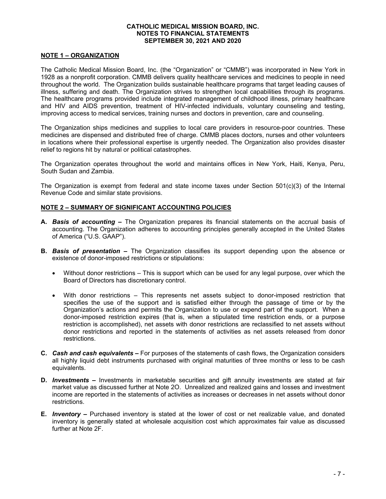## **NOTE 1 – ORGANIZATION**

The Catholic Medical Mission Board, Inc. (the "Organization" or "CMMB") was incorporated in New York in 1928 as a nonprofit corporation. CMMB delivers quality healthcare services and medicines to people in need throughout the world. The Organization builds sustainable healthcare programs that target leading causes of illness, suffering and death. The Organization strives to strengthen local capabilities through its programs. The healthcare programs provided include integrated management of childhood illness, primary healthcare and HIV and AIDS prevention, treatment of HIV-infected individuals, voluntary counseling and testing, improving access to medical services, training nurses and doctors in prevention, care and counseling.

The Organization ships medicines and supplies to local care providers in resource-poor countries. These medicines are dispensed and distributed free of charge. CMMB places doctors, nurses and other volunteers in locations where their professional expertise is urgently needed. The Organization also provides disaster relief to regions hit by natural or political catastrophes.

The Organization operates throughout the world and maintains offices in New York, Haiti, Kenya, Peru, South Sudan and Zambia.

The Organization is exempt from federal and state income taxes under Section 501(c)(3) of the Internal Revenue Code and similar state provisions.

## **NOTE 2 – SUMMARY OF SIGNIFICANT ACCOUNTING POLICIES**

- **A.** *Basis of accounting*The Organization prepares its financial statements on the accrual basis of accounting. The Organization adheres to accounting principles generally accepted in the United States of America ("U.S. GAAP").
- **B.** *Basis of presentation*The Organization classifies its support depending upon the absence or existence of donor-imposed restrictions or stipulations:
	- Without donor restrictions This is support which can be used for any legal purpose, over which the Board of Directors has discretionary control.
	- With donor restrictions This represents net assets subject to donor-imposed restriction that specifies the use of the support and is satisfied either through the passage of time or by the Organization's actions and permits the Organization to use or expend part of the support. When a donor-imposed restriction expires (that is, when a stipulated time restriction ends, or a purpose restriction is accomplished), net assets with donor restrictions are reclassified to net assets without donor restrictions and reported in the statements of activities as net assets released from donor restrictions.
- **C.** *Cash and cash equivalents* For purposes of the statements of cash flows, the Organization considers all highly liquid debt instruments purchased with original maturities of three months or less to be cash equivalents.
- **D.** *Investments* Investments in marketable securities and gift annuity investments are stated at fair market value as discussed further at Note 2O. Unrealized and realized gains and losses and investment income are reported in the statements of activities as increases or decreases in net assets without donor restrictions.
- **E.** *Inventory* Purchased inventory is stated at the lower of cost or net realizable value, and donated inventory is generally stated at wholesale acquisition cost which approximates fair value as discussed further at Note 2F.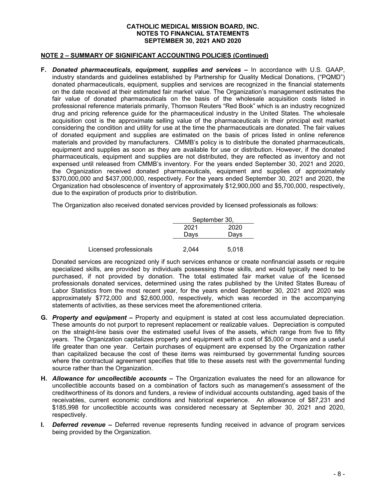## **NOTE 2 – SUMMARY OF SIGNIFICANT ACCOUNTING POLICIES (Continued)**

**F.** *Donated pharmaceuticals, equipment, supplies and services –* In accordance with U.S. GAAP, industry standards and guidelines established by Partnership for Quality Medical Donations, ("PQMD") donated pharmaceuticals, equipment, supplies and services are recognized in the financial statements on the date received at their estimated fair market value. The Organization's management estimates the fair value of donated pharmaceuticals on the basis of the wholesale acquisition costs listed in professional reference materials primarily, Thomson Reuters "Red Book" which is an industry recognized drug and pricing reference guide for the pharmaceutical industry in the United States. The wholesale acquisition cost is the approximate selling value of the pharmaceuticals in their principal exit market considering the condition and utility for use at the time the pharmaceuticals are donated. The fair values of donated equipment and supplies are estimated on the basis of prices listed in online reference materials and provided by manufacturers. CMMB's policy is to distribute the donated pharmaceuticals, equipment and supplies as soon as they are available for use or distribution. However, if the donated pharmaceuticals, equipment and supplies are not distributed, they are reflected as inventory and not expensed until released from CMMB's inventory. For the years ended September 30, 2021 and 2020, the Organization received donated pharmaceuticals, equipment and supplies of approximately \$370,000,000 and \$437,000,000, respectively. For the years ended September 30, 2021 and 2020, the Organization had obsolescence of inventory of approximately \$12,900,000 and \$5,700,000, respectively, due to the expiration of products prior to distribution.

The Organization also received donated services provided by licensed professionals as follows:

|                        | September 30, |       |
|------------------------|---------------|-------|
|                        | 2021          | 2020  |
|                        | Days          | Davs  |
|                        |               |       |
| Licensed professionals | 2.044         | 5,018 |

Donated services are recognized only if such services enhance or create nonfinancial assets or require specialized skills, are provided by individuals possessing those skills, and would typically need to be purchased, if not provided by donation. The total estimated fair market value of the licensed professionals donated services, determined using the rates published by the United States Bureau of Labor Statistics from the most recent year, for the years ended September 30, 2021 and 2020 was approximately \$772,000 and \$2,600,000, respectively, which was recorded in the accompanying statements of activities, as these services meet the aforementioned criteria.

- **G.** *Property and equipment* Property and equipment is stated at cost less accumulated depreciation. These amounts do not purport to represent replacement or realizable values. Depreciation is computed on the straight-line basis over the estimated useful lives of the assets, which range from five to fifty years. The Organization capitalizes property and equipment with a cost of \$5,000 or more and a useful life greater than one year. Certain purchases of equipment are expensed by the Organization rather than capitalized because the cost of these items was reimbursed by governmental funding sources where the contractual agreement specifies that title to these assets rest with the governmental funding source rather than the Organization.
- **H.** *Allowance for uncollectible accounts* The Organization evaluates the need for an allowance for uncollectible accounts based on a combination of factors such as management's assessment of the creditworthiness of its donors and funders, a review of individual accounts outstanding, aged basis of the receivables, current economic conditions and historical experience. An allowance of \$87,231 and \$185,998 for uncollectible accounts was considered necessary at September 30, 2021 and 2020, respectively.
- **I.** *Deferred revenue* Deferred revenue represents funding received in advance of program services being provided by the Organization.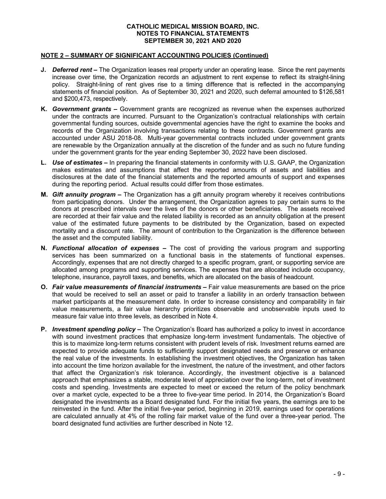## **NOTE 2 – SUMMARY OF SIGNIFICANT ACCOUNTING POLICIES (Continued)**

- **J.** *Deferred rent* The Organization leases real property under an operating lease. Since the rent payments increase over time, the Organization records an adjustment to rent expense to reflect its straight-lining policy. Straight-lining of rent gives rise to a timing difference that is reflected in the accompanying statements of financial position. As of September 30, 2021 and 2020, such deferral amounted to \$126,581 and \$200,473, respectively.
- **K.** *Government grants* Government grants are recognized as revenue when the expenses authorized under the contracts are incurred. Pursuant to the Organization's contractual relationships with certain governmental funding sources, outside governmental agencies have the right to examine the books and records of the Organization involving transactions relating to these contracts. Government grants are accounted under ASU 2018-08. Multi-year governmental contracts included under government grants are renewable by the Organization annually at the discretion of the funder and as such no future funding under the government grants for the year ending September 30, 2022 have been disclosed.
- **L.** *Use of estimates* In preparing the financial statements in conformity with U.S. GAAP, the Organization makes estimates and assumptions that affect the reported amounts of assets and liabilities and disclosures at the date of the financial statements and the reported amounts of support and expenses during the reporting period. Actual results could differ from those estimates.
- **M.** *Gift annuity program* The Organization has a gift annuity program whereby it receives contributions from participating donors. Under the arrangement, the Organization agrees to pay certain sums to the donors at prescribed intervals over the lives of the donors or other beneficiaries. The assets received are recorded at their fair value and the related liability is recorded as an annuity obligation at the present value of the estimated future payments to be distributed by the Organization, based on expected mortality and a discount rate. The amount of contribution to the Organization is the difference between the asset and the computed liability.
- **N.** *Functional allocation of expenses* The cost of providing the various program and supporting services has been summarized on a functional basis in the statements of functional expenses. Accordingly, expenses that are not directly charged to a specific program, grant, or supporting service are allocated among programs and supporting services. The expenses that are allocated include occupancy, telephone, insurance, payroll taxes, and benefits, which are allocated on the basis of headcount.
- **O.** *Fair value measurements of financial instruments* Fair value measurements are based on the price that would be received to sell an asset or paid to transfer a liability in an orderly transaction between market participants at the measurement date. In order to increase consistency and comparability in fair value measurements, a fair value hierarchy prioritizes observable and unobservable inputs used to measure fair value into three levels, as described in Note 4.
- **P.** *Investment spending policy* The Organization's Board has authorized a policy to invest in accordance with sound investment practices that emphasize long-term investment fundamentals. The objective of this is to maximize long-term returns consistent with prudent levels of risk. Investment returns earned are expected to provide adequate funds to sufficiently support designated needs and preserve or enhance the real value of the investments. In establishing the investment objectives, the Organization has taken into account the time horizon available for the investment, the nature of the investment, and other factors that affect the Organization's risk tolerance. Accordingly, the investment objective is a balanced approach that emphasizes a stable, moderate level of appreciation over the long-term, net of investment costs and spending. Investments are expected to meet or exceed the return of the policy benchmark over a market cycle, expected to be a three to five-year time period. In 2014, the Organization's Board designated the investments as a Board designated fund. For the initial five years, the earnings are to be reinvested in the fund. After the initial five-year period, beginning in 2019, earnings used for operations are calculated annually at 4% of the rolling fair market value of the fund over a three-year period. The board designated fund activities are further described in Note 12.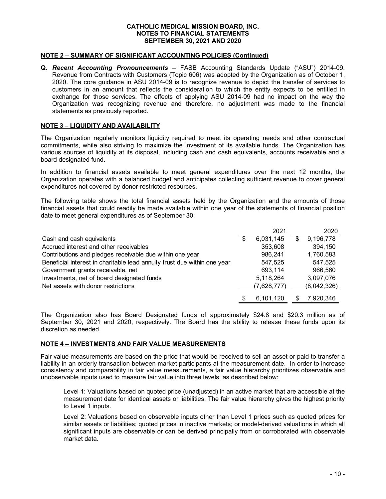## **NOTE 2 – SUMMARY OF SIGNIFICANT ACCOUNTING POLICIES (Continued)**

**Q.** *Recent Accounting Pronouncements* – FASB Accounting Standards Update ("ASU") 2014-09, Revenue from Contracts with Customers (Topic 606) was adopted by the Organization as of October 1, 2020. The core guidance in ASU 2014-09 is to recognize revenue to depict the transfer of services to customers in an amount that reflects the consideration to which the entity expects to be entitled in exchange for those services. The effects of applying ASU 2014-09 had no impact on the way the Organization was recognizing revenue and therefore, no adjustment was made to the financial statements as previously reported.

## **NOTE 3 – LIQUIDITY AND AVAILABILITY**

The Organization regularly monitors liquidity required to meet its operating needs and other contractual commitments, while also striving to maximize the investment of its available funds. The Organization has various sources of liquidity at its disposal, including cash and cash equivalents, accounts receivable and a board designated fund.

In addition to financial assets available to meet general expenditures over the next 12 months, the Organization operates with a balanced budget and anticipates collecting sufficient revenue to cover general expenditures not covered by donor-restricted resources.

The following table shows the total financial assets held by the Organization and the amounts of those financial assets that could readily be made available within one year of the statements of financial position date to meet general expenditures as of September 30:

|                                                                          | 2021            |    | 2020        |
|--------------------------------------------------------------------------|-----------------|----|-------------|
| Cash and cash equivalents                                                | \$<br>6,031,145 | \$ | 9,196,778   |
| Accrued interest and other receivables                                   | 353,608         |    | 394,150     |
| Contributions and pledges receivable due within one year                 | 986,241         |    | 1,760,583   |
| Beneficial interest in charitable lead annuity trust due within one year | 547,525         |    | 547,525     |
| Government grants receivable, net                                        | 693,114         |    | 966,560     |
| Investments, net of board designated funds                               | 5,118,264       |    | 3,097,076   |
| Net assets with donor restrictions                                       | (7,628,777)     |    | (8,042,326) |
|                                                                          | \$<br>6.101.120 | S  | 7,920,346   |

The Organization also has Board Designated funds of approximately \$24.8 and \$20.3 million as of September 30, 2021 and 2020, respectively. The Board has the ability to release these funds upon its discretion as needed.

### **NOTE 4 – INVESTMENTS AND FAIR VALUE MEASUREMENTS**

Fair value measurements are based on the price that would be received to sell an asset or paid to transfer a liability in an orderly transaction between market participants at the measurement date. In order to increase consistency and comparability in fair value measurements, a fair value hierarchy prioritizes observable and unobservable inputs used to measure fair value into three levels, as described below:

Level 1: Valuations based on quoted price (unadjusted) in an active market that are accessible at the measurement date for identical assets or liabilities. The fair value hierarchy gives the highest priority to Level 1 inputs.

Level 2: Valuations based on observable inputs other than Level 1 prices such as quoted prices for similar assets or liabilities; quoted prices in inactive markets; or model-derived valuations in which all significant inputs are observable or can be derived principally from or corroborated with observable market data.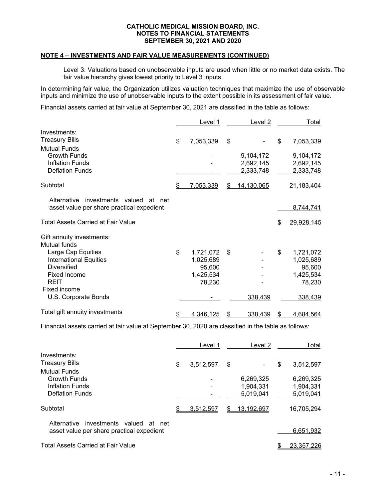## **NOTE 4 – INVESTMENTS AND FAIR VALUE MEASUREMENTS (CONTINUED)**

Level 3: Valuations based on unobservable inputs are used when little or no market data exists. The fair value hierarchy gives lowest priority to Level 3 inputs.

In determining fair value, the Organization utilizes valuation techniques that maximize the use of observable inputs and minimize the use of unobservable inputs to the extent possible in its assessment of fair value.

Financial assets carried at fair value at September 30, 2021 are classified in the table as follows:

|                                                                                             |               | Level 1   |    | Level 2                             |    | Total                               |
|---------------------------------------------------------------------------------------------|---------------|-----------|----|-------------------------------------|----|-------------------------------------|
| Investments:<br><b>Treasury Bills</b>                                                       |               |           |    |                                     |    |                                     |
|                                                                                             | \$            | 7,053,339 | \$ |                                     | \$ | 7,053,339                           |
| <b>Mutual Funds</b><br>Growth Funds<br><b>Inflation Funds</b><br><b>Deflation Funds</b>     |               |           |    | 9,104,172<br>2,692,145<br>2,333,748 |    | 9,104,172<br>2,692,145<br>2,333,748 |
| Subtotal                                                                                    | \$            | 7,053,339 | S  | 14,130,065                          |    | 21,183,404                          |
| Alternative<br>investments<br>valued<br>at net<br>asset value per share practical expedient |               |           |    |                                     |    | 8,744,741                           |
| Total Assets Carried at Fair Value                                                          |               |           |    |                                     |    | 29,928,145                          |
| Gift annuity investments:<br>Mutual funds                                                   |               |           |    |                                     |    |                                     |
| Large Cap Equities                                                                          | \$            | 1,721,072 | \$ |                                     | \$ | 1,721,072                           |
| <b>International Equities</b>                                                               |               | 1,025,689 |    |                                     |    | 1,025,689                           |
| <b>Diversified</b>                                                                          |               | 95,600    |    |                                     |    | 95,600                              |
| <b>Fixed Income</b>                                                                         |               | 1,425,534 |    |                                     |    | 1,425,534                           |
| <b>REIT</b>                                                                                 |               | 78,230    |    |                                     |    | 78,230                              |
| Fixed income<br>U.S. Corporate Bonds                                                        |               |           |    | 338,439                             |    | 338,439                             |
| Total gift annuity investments                                                              | $\frac{1}{2}$ | 4,346,125 | \$ | 338,439                             | S  | 4,684,564                           |

Financial assets carried at fair value at September 30, 2020 are classified in the table as follows:

|                                                                                             | Level 1                | Level 2                             | Total                               |
|---------------------------------------------------------------------------------------------|------------------------|-------------------------------------|-------------------------------------|
| Investments:<br><b>Treasury Bills</b><br>Mutual Funds                                       | \$<br>3,512,597        | \$<br>۰                             | \$<br>3,512,597                     |
| <b>Growth Funds</b><br>Inflation Funds<br>Deflation Funds                                   |                        | 6,269,325<br>1,904,331<br>5,019,041 | 6,269,325<br>1,904,331<br>5,019,041 |
| Subtotal                                                                                    | \$<br><u>3,512,597</u> | \$<br><u>13,192,697</u>             | 16,705,294                          |
| investments<br>Alternative<br>valued<br>at net<br>asset value per share practical expedient |                        |                                     | 6,651,932                           |
| Total Assets Carried at Fair Value                                                          |                        |                                     | <u>23,357,226</u>                   |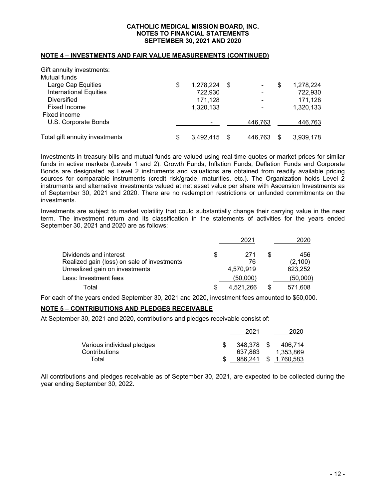## **NOTE 4 – INVESTMENTS AND FAIR VALUE MEASUREMENTS (CONTINUED)**

| Gift annuity investments:      |                 |                      |   |           |
|--------------------------------|-----------------|----------------------|---|-----------|
| <b>Mutual funds</b>            |                 |                      |   |           |
| Large Cap Equities             | \$<br>1,278,224 | \$<br>$\blacksquare$ | S | 1,278,224 |
| <b>International Equities</b>  | 722,930         |                      |   | 722,930   |
| <b>Diversified</b>             | 171,128         |                      |   | 171,128   |
| Fixed Income                   | 1,320,133       |                      |   | 1,320,133 |
| Fixed income                   |                 |                      |   |           |
| U.S. Corporate Bonds           |                 | 446.763              |   | 446,763   |
| Total gift annuity investments | 3,492,415       | 446.763              |   | 3,939,178 |
|                                |                 |                      |   |           |

Investments in treasury bills and mutual funds are valued using real-time quotes or market prices for similar funds in active markets (Levels 1 and 2). Growth Funds, Inflation Funds, Deflation Funds and Corporate Bonds are designated as Level 2 instruments and valuations are obtained from readily available pricing sources for comparable instruments (credit risk/grade, maturities, etc.). The Organization holds Level 2 instruments and alternative investments valued at net asset value per share with Ascension Investments as of September 30, 2021 and 2020. There are no redemption restrictions or unfunded commitments on the investments.

Investments are subject to market volatility that could substantially change their carrying value in the near term. The investment return and its classification in the statements of activities for the years ended September 30, 2021 and 2020 are as follows:

|                                                                                                         | 2021                    | 2020                       |
|---------------------------------------------------------------------------------------------------------|-------------------------|----------------------------|
| Dividends and interest<br>Realized gain (loss) on sale of investments<br>Unrealized gain on investments | -271<br>76<br>4,570,919 | 456<br>(2, 100)<br>623.252 |
| Less: Investment fees                                                                                   | (50.000)                | (50,000)                   |
| Total                                                                                                   | 4.521.266               | 571.608                    |

For each of the years ended September 30, 2021 and 2020, investment fees amounted to \$50,000.

## **NOTE 5 – CONTRIBUTIONS AND PLEDGES RECEIVABLE**

At September 30, 2021 and 2020, contributions and pledges receivable consist of:

|                            | 2021       | 2020             |
|----------------------------|------------|------------------|
| Various individual pledges | 348.378 \$ | 406.714          |
| Contributions              | 637.863    | 1.353.869        |
| Total                      | 986.241    | <u>1,760,583</u> |

All contributions and pledges receivable as of September 30, 2021, are expected to be collected during the year ending September 30, 2022.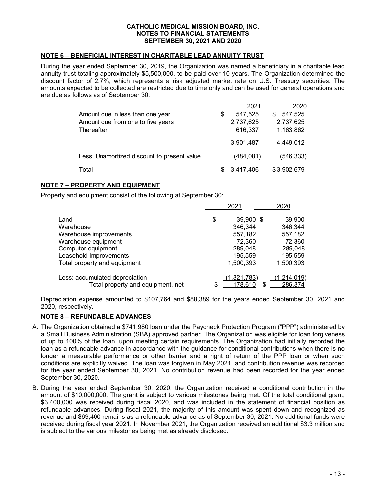## **NOTE 6 – BENEFICIAL INTEREST IN CHARITABLE LEAD ANNUITY TRUST**

During the year ended September 30, 2019, the Organization was named a beneficiary in a charitable lead annuity trust totaling approximately \$5,500,000, to be paid over 10 years. The Organization determined the discount factor of 2.7%, which represents a risk adjusted market rate on U.S. Treasury securities. The amounts expected to be collected are restricted due to time only and can be used for general operations and are due as follows as of September 30:

|                                             | 2021          | 2020         |
|---------------------------------------------|---------------|--------------|
| Amount due in less than one year            | \$<br>547,525 | 547,525<br>S |
| Amount due from one to five years           | 2,737,625     | 2,737,625    |
| Thereafter                                  | 616,337       | 1,163,862    |
|                                             | 3,901,487     | 4,449,012    |
| Less: Unamortized discount to present value | (484, 081)    | (546,333)    |
| Total                                       | 3,417,406     | \$3,902,679  |

## **NOTE 7 – PROPERTY AND EQUIPMENT**

Property and equipment consist of the following at September 30:

|                                   | 2021                 | 2020         |
|-----------------------------------|----------------------|--------------|
| Land                              | \$<br>39,900 \$      | 39,900       |
| Warehouse                         | 346,344              | 346,344      |
| Warehouse improvements            | 557,182              | 557,182      |
| Warehouse equipment               | 72,360               | 72,360       |
| Computer equipment                | 289,048              | 289,048      |
| Leasehold Improvements            | 195,559              | 195,559      |
| Total property and equipment      | 1,500,393            | 1,500,393    |
| Less: accumulated depreciation    | (1,321,783)          | 1,214,019)   |
| Total property and equipment, net | \$<br><u>178,610</u> | 286,374<br>S |

Depreciation expense amounted to \$107,764 and \$88,389 for the years ended September 30, 2021 and 2020, respectively.

## **NOTE 8 – REFUNDABLE ADVANCES**

- A. The Organization obtained a \$741,980 loan under the Paycheck Protection Program ("PPP") administered by a Small Business Administration (SBA) approved partner. The Organization was eligible for loan forgiveness of up to 100% of the loan, upon meeting certain requirements. The Organization had initially recorded the loan as a refundable advance in accordance with the guidance for conditional contributions when there is no longer a measurable performance or other barrier and a right of return of the PPP loan or when such conditions are explicitly waived. The loan was forgiven in May 2021, and contribution revenue was recorded for the year ended September 30, 2021. No contribution revenue had been recorded for the year ended September 30, 2020.
- B. During the year ended September 30, 2020, the Organization received a conditional contribution in the amount of \$10,000,000. The grant is subject to various milestones being met. Of the total conditional grant, \$3,400,000 was received during fiscal 2020, and was included in the statement of financial position as refundable advances. During fiscal 2021, the majority of this amount was spent down and recognized as revenue and \$69,400 remains as a refundable advance as of September 30, 2021. No additional funds were received during fiscal year 2021. In November 2021, the Organization received an additional \$3.3 million and is subject to the various milestones being met as already disclosed.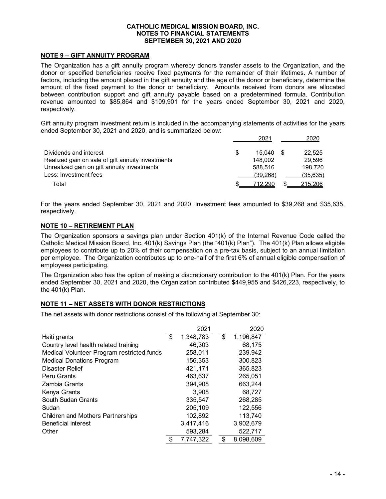## **NOTE 9 – GIFT ANNUITY PROGRAM**

The Organization has a gift annuity program whereby donors transfer assets to the Organization, and the donor or specified beneficiaries receive fixed payments for the remainder of their lifetimes. A number of factors, including the amount placed in the gift annuity and the age of the donor or beneficiary, determine the amount of the fixed payment to the donor or beneficiary. Amounts received from donors are allocated between contribution support and gift annuity payable based on a predetermined formula. Contribution revenue amounted to \$85,864 and \$109,901 for the years ended September 30, 2021 and 2020, respectively.

Gift annuity program investment return is included in the accompanying statements of activities for the years ended September 30, 2021 and 2020, and is summarized below:

|                                                   | 2021     | 2020     |
|---------------------------------------------------|----------|----------|
| Dividends and interest                            | 15.040   | 22.525   |
| Realized gain on sale of gift annuity investments | 148.002  | 29.596   |
| Unrealized gain on gift annuity investments       | 588.516  | 198.720  |
| Less: Investment fees                             | (39,268) | (35,635) |
| Total                                             | 712.290  | 215.206  |

For the years ended September 30, 2021 and 2020, investment fees amounted to \$39,268 and \$35,635, respectively.

## **NOTE 10 – RETIREMENT PLAN**

The Organization sponsors a savings plan under Section 401(k) of the Internal Revenue Code called the Catholic Medical Mission Board, Inc. 401(k) Savings Plan (the "401(k) Plan"). The 401(k) Plan allows eligible employees to contribute up to 20% of their compensation on a pre-tax basis, subject to an annual limitation per employee. The Organization contributes up to one-half of the first 6% of annual eligible compensation of employees participating.

The Organization also has the option of making a discretionary contribution to the 401(k) Plan. For the years ended September 30, 2021 and 2020, the Organization contributed \$449,955 and \$426,223, respectively, to the 401(k) Plan.

## **NOTE 11 – NET ASSETS WITH DONOR RESTRICTIONS**

The net assets with donor restrictions consist of the following at September 30:

|                                            | 2021            |    | 2020      |
|--------------------------------------------|-----------------|----|-----------|
| Haiti grants                               | \$<br>1,348,783 | \$ | 1,196,847 |
| Country level health related training      | 46,303          |    | 68,175    |
| Medical Volunteer Program restricted funds | 258,011         |    | 239,942   |
| <b>Medical Donations Program</b>           | 156,353         |    | 300,823   |
| Disaster Relief                            | 421,171         |    | 365,823   |
| Peru Grants                                | 463,637         |    | 265,051   |
| Zambia Grants                              | 394,908         |    | 663,244   |
| Kenya Grants                               | 3,908           |    | 68,727    |
| South Sudan Grants                         | 335,547         |    | 268,285   |
| Sudan                                      | 205,109         |    | 122,556   |
| <b>Children and Mothers Partnerships</b>   | 102,892         |    | 113,740   |
| <b>Beneficial interest</b>                 | 3,417,416       |    | 3,902,679 |
| Other                                      | 593,284         |    | 522,717   |
|                                            | \$<br>7,747,322 | \$ | 8,098,609 |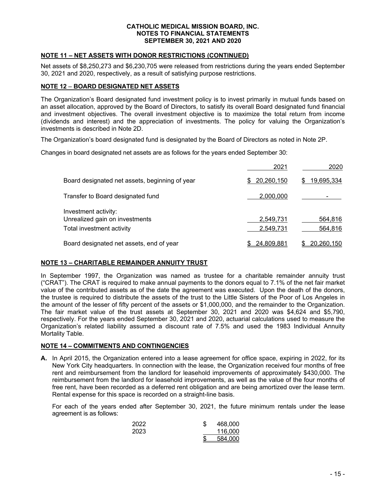## **NOTE 11 – NET ASSETS WITH DONOR RESTRICTIONS (CONTINUED)**

Net assets of \$8,250,273 and \$6,230,705 were released from restrictions during the years ended September 30, 2021 and 2020, respectively, as a result of satisfying purpose restrictions.

## **NOTE 12** – **BOARD DESIGNATED NET ASSETS**

The Organization's Board designated fund investment policy is to invest primarily in mutual funds based on an asset allocation, approved by the Board of Directors, to satisfy its overall Board designated fund financial and investment objectives. The overall investment objective is to maximize the total return from income (dividends and interest) and the appreciation of investments. The policy for valuing the Organization's investments is described in Note 2D.

The Organization's board designated fund is designated by the Board of Directors as noted in Note 2P.

Changes in board designated net assets are as follows for the years ended September 30:

|                                                                                     | 2021                   | 2020               |
|-------------------------------------------------------------------------------------|------------------------|--------------------|
| Board designated net assets, beginning of year                                      | 20,260,150<br>\$.      | 19,695,334<br>S.   |
| Transfer to Board designated fund                                                   | 2,000,000              |                    |
| Investment activity:<br>Unrealized gain on investments<br>Total investment activity | 2,549,731<br>2.549.731 | 564,816<br>564,816 |
| Board designated net assets, end of year                                            | <u>24,809,881</u>      | <u>20,260,150</u>  |

## **NOTE 13 – CHARITABLE REMAINDER ANNUITY TRUST**

In September 1997, the Organization was named as trustee for a charitable remainder annuity trust ("CRAT"). The CRAT is required to make annual payments to the donors equal to 7.1% of the net fair market value of the contributed assets as of the date the agreement was executed. Upon the death of the donors, the trustee is required to distribute the assets of the trust to the Little Sisters of the Poor of Los Angeles in the amount of the lesser of fifty percent of the assets or \$1,000,000, and the remainder to the Organization. The fair market value of the trust assets at September 30, 2021 and 2020 was \$4,624 and \$5,790, respectively. For the years ended September 30, 2021 and 2020, actuarial calculations used to measure the Organization's related liability assumed a discount rate of 7.5% and used the 1983 Individual Annuity Mortality Table.

### **NOTE 14 – COMMITMENTS AND CONTINGENCIES**

**A.** In April 2015, the Organization entered into a lease agreement for office space, expiring in 2022, for its New York City headquarters. In connection with the lease, the Organization received four months of free rent and reimbursement from the landlord for leasehold improvements of approximately \$430,000. The reimbursement from the landlord for leasehold improvements, as well as the value of the four months of free rent, have been recorded as a deferred rent obligation and are being amortized over the lease term. Rental expense for this space is recorded on a straight-line basis.

For each of the years ended after September 30, 2021, the future minimum rentals under the lease agreement is as follows:

| 2022 | 468,000 |
|------|---------|
| 2023 | 116,000 |
|      | 584.000 |